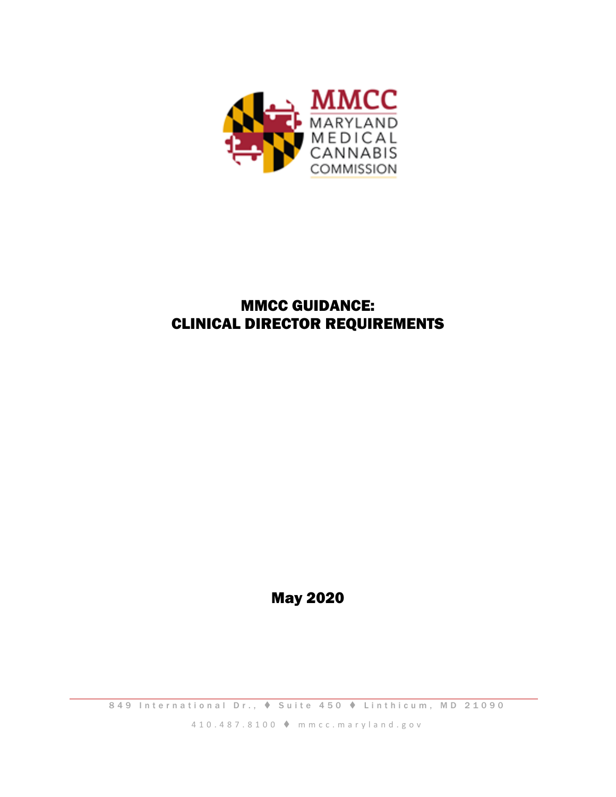

# MMCC GUIDANCE: CLINICAL DIRECTOR REQUIREMENTS

May 2020

849 International Dr.,  $\triangle$  Suite 450  $\triangle$  Linthicum, MD 21090

4 1 0 . 4 8 7 . 8 1 0 0 m m c c . m a r y l a n d . g o v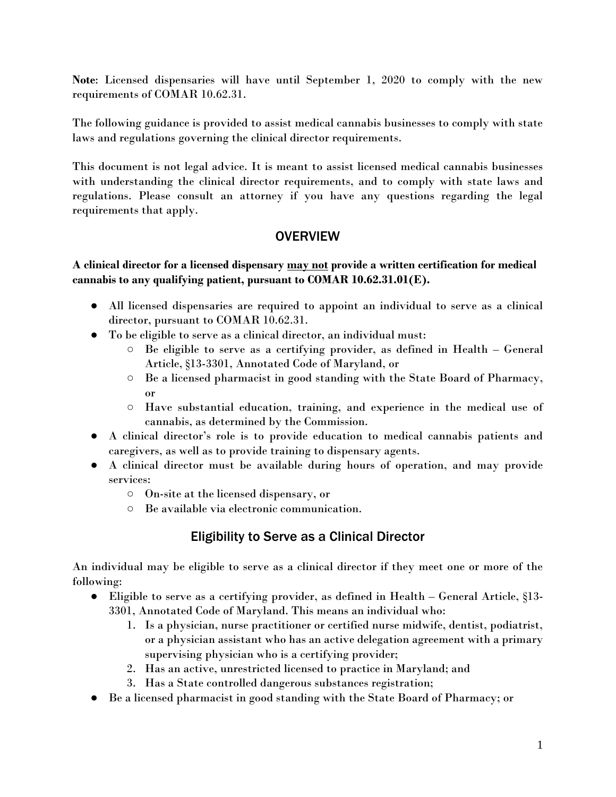**Note**: Licensed dispensaries will have until September 1, 2020 to comply with the new requirements of COMAR 10.62.31.

The following guidance is provided to assist medical cannabis businesses to comply with state laws and regulations governing the clinical director requirements.

This document is not legal advice. It is meant to assist licensed medical cannabis businesses with understanding the clinical director requirements, and to comply with state laws and regulations. Please consult an attorney if you have any questions regarding the legal requirements that apply.

### **OVERVIEW**

### **A clinical director for a licensed dispensary may not provide a written certification for medical cannabis to any qualifying patient, pursuant to COMAR 10.62.31.01(E).**

- All licensed dispensaries are required to appoint an individual to serve as a clinical director, pursuant to COMAR 10.62.31.
- To be eligible to serve as a clinical director, an individual must:
	- Be eligible to serve as a certifying provider, as defined in Health General Article, §13-3301, Annotated Code of Maryland, or
	- Be a licensed pharmacist in good standing with the State Board of Pharmacy, or
	- Have substantial education, training, and experience in the medical use of cannabis, as determined by the Commission.
- A clinical director's role is to provide education to medical cannabis patients and caregivers, as well as to provide training to dispensary agents.
- A clinical director must be available during hours of operation, and may provide services:
	- On-site at the licensed dispensary, or
	- Be available via electronic communication.

# Eligibility to Serve as a Clinical Director

An individual may be eligible to serve as a clinical director if they meet one or more of the following:

- Eligible to serve as a certifying provider, as defined in Health General Article, §13- 3301, Annotated Code of Maryland. This means an individual who:
	- 1. Is a physician, nurse practitioner or certified nurse midwife, dentist, podiatrist, or a physician assistant who has an active delegation agreement with a primary supervising physician who is a certifying provider;
	- 2. Has an active, unrestricted licensed to practice in Maryland; and
	- 3. Has a State controlled dangerous substances registration;
- Be a licensed pharmacist in good standing with the State Board of Pharmacy; or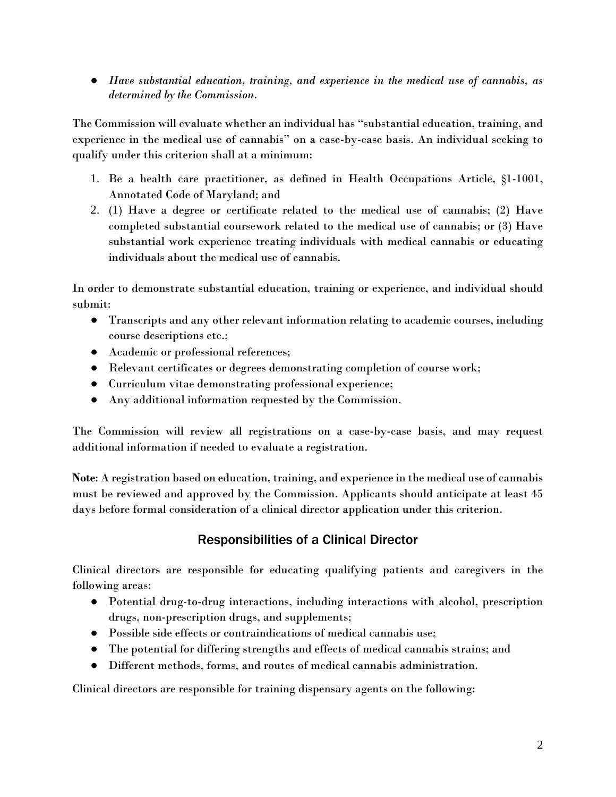● *Have substantial education, training, and experience in the medical use of cannabis, as determined by the Commission*.

The Commission will evaluate whether an individual has "substantial education, training, and experience in the medical use of cannabis" on a case-by-case basis. An individual seeking to qualify under this criterion shall at a minimum:

- 1. Be a health care practitioner, as defined in Health Occupations Article, §1-1001, Annotated Code of Maryland; and
- 2. (1) Have a degree or certificate related to the medical use of cannabis; (2) Have completed substantial coursework related to the medical use of cannabis; or (3) Have substantial work experience treating individuals with medical cannabis or educating individuals about the medical use of cannabis.

In order to demonstrate substantial education, training or experience, and individual should submit:

- Transcripts and any other relevant information relating to academic courses, including course descriptions etc.;
- Academic or professional references;
- Relevant certificates or degrees demonstrating completion of course work;
- Curriculum vitae demonstrating professional experience;
- Any additional information requested by the Commission.

The Commission will review all registrations on a case-by-case basis, and may request additional information if needed to evaluate a registration.

**Note**: A registration based on education, training, and experience in the medical use of cannabis must be reviewed and approved by the Commission. Applicants should anticipate at least 45 days before formal consideration of a clinical director application under this criterion.

# Responsibilities of a Clinical Director

Clinical directors are responsible for educating qualifying patients and caregivers in the following areas:

- Potential drug-to-drug interactions, including interactions with alcohol, prescription drugs, non-prescription drugs, and supplements;
- Possible side effects or contraindications of medical cannabis use;
- The potential for differing strengths and effects of medical cannabis strains; and
- Different methods, forms, and routes of medical cannabis administration.

Clinical directors are responsible for training dispensary agents on the following: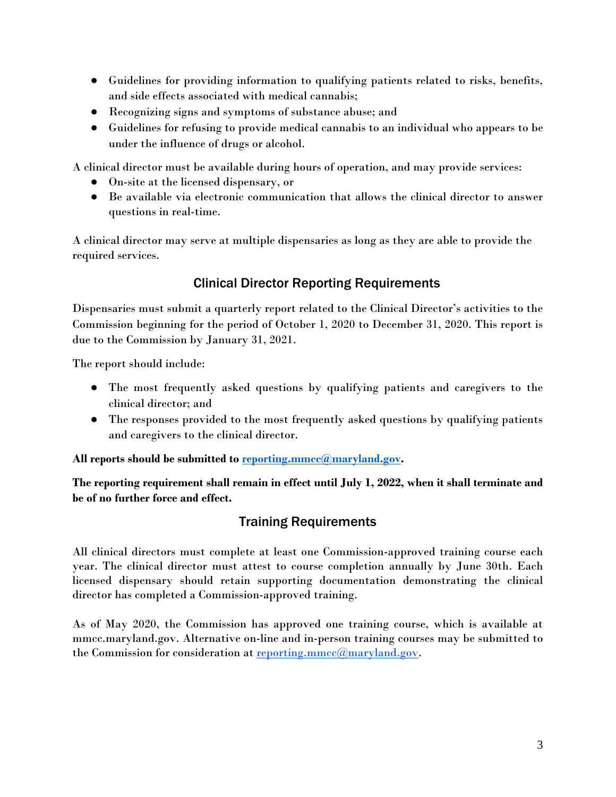- Guidelines for providing information to qualifying patients related to risks, benefits, and side effects associated with medical cannabis;
- Recognizing signs and symptoms of substance abuse; and
- Guidelines for refusing to provide medical cannabis to an individual who appears to be under the influence of drugs or alcohol.

A clinical director must be available during hours of operation, and may provide services:

- On-site at the licensed dispensary, or
- Be available via electronic communication that allows the clinical director to answer questions in real-time.

A clinical director may serve at multiple dispensaries as long as they are able to provide the required services.

# Clinical Director Reporting Requirements

Dispensaries must submit a quarterly report related to the Clinical Director's activities to the Commission beginning for the period of October 1, 2020 to December 31, 2020. This report is due to the Commission by January 31, 2021.

The report should include:

- The most frequently asked questions by qualifying patients and caregivers to the clinical director; and
- The responses provided to the most frequently asked questions by qualifying patients and caregivers to the clinical director.

**All reports should be submitted to reporting.mmcc@maryland.gov.** 

**The reporting requirement shall remain in effect until July 1, 2022, when it shall terminate and be of no further force and effect.**

# Training Requirements

All clinical directors must complete at least one Commission-approved training course each year. The clinical director must attest to course completion annually by June 30th. Each licensed dispensary should retain supporting documentation demonstrating the clinical director has completed a Commission-approved training.

As of May 2020, the Commission has approved one training course, which is available at mmcc.maryland.gov. Alternative on-line and in-person training courses may be submitted to the Commission for consideration at reporting.mmcc@maryland.gov.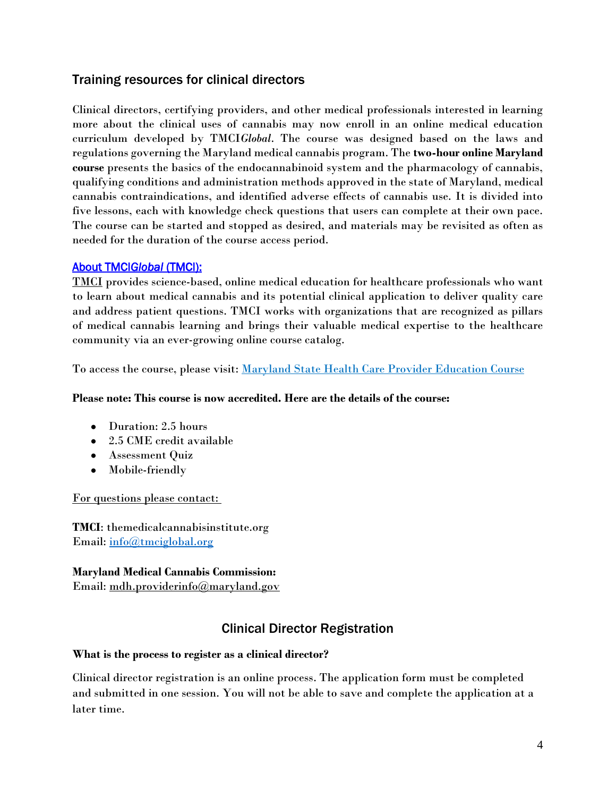## Training resources for clinical directors

Clinical directors, certifying providers, and other medical professionals interested in learning more about the clinical uses of cannabis may now enroll in an online medical education curriculum developed by TMCI*Global*. The course was designed based on the laws and regulations governing the Maryland medical cannabis program. The **two-hour online Maryland course** presents the basics of the endocannabinoid system and the pharmacology of cannabis, qualifying conditions and administration methods approved in the state of Maryland, medical cannabis contraindications, and identified adverse effects of cannabis use. It is divided into five lessons, each with knowledge check questions that users can complete at their own pace. The course can be started and stopped as desired, and materials may be revisited as often as needed for the duration of the course access period.

### About TMCI*Global* (TMCI):

TMCI provides science-based, online medical education for healthcare professionals who want to learn about medical cannabis and its potential clinical application to deliver quality care and address patient questions. TMCI works with organizations that are recognized as pillars of medical cannabis learning and brings their valuable medical expertise to the healthcare community via an ever-growing online course catalog.

To access the course, please visit: Maryland State Health Care Provider Education Course

#### **Please note: This course is now accredited. Here are the details of the course:**

- Duration: 2.5 hours
- 2.5 CME credit available
- Assessment Quiz
- Mobile-friendly

For questions please contact:

**TMCI**: themedicalcannabisinstitute.org Email: info@tmciglobal.org

### **Maryland Medical Cannabis Commission:** Email: mdh.providerinfo@maryland.gov

# Clinical Director Registration

#### **What is the process to register as a clinical director?**

Clinical director registration is an online process. The application form must be completed and submitted in one session. You will not be able to save and complete the application at a later time.